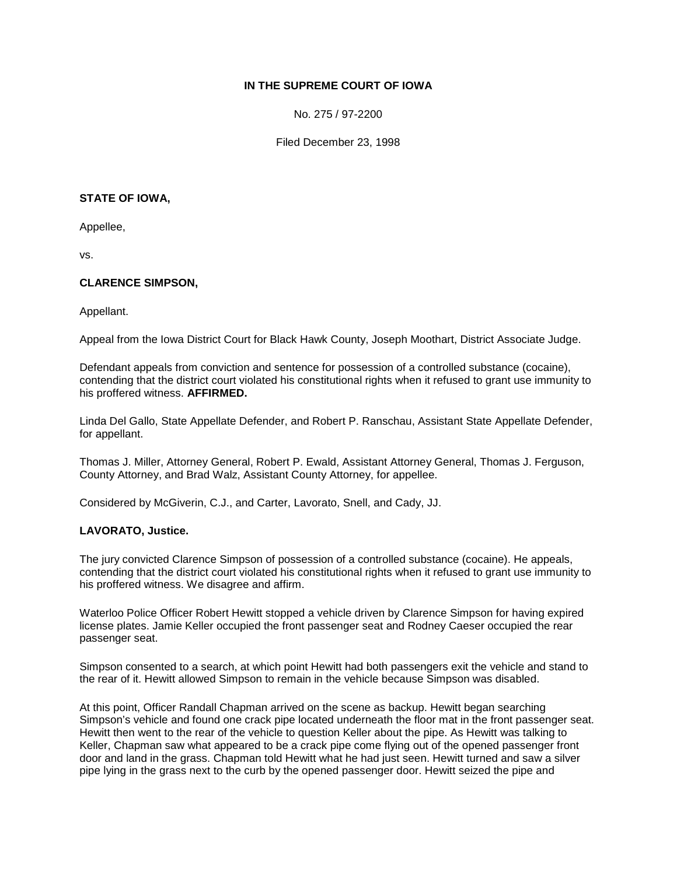# **IN THE SUPREME COURT OF IOWA**

No. 275 / 97-2200

Filed December 23, 1998

#### **STATE OF IOWA,**

Appellee,

vs.

## **CLARENCE SIMPSON,**

Appellant.

Appeal from the Iowa District Court for Black Hawk County, Joseph Moothart, District Associate Judge.

Defendant appeals from conviction and sentence for possession of a controlled substance (cocaine), contending that the district court violated his constitutional rights when it refused to grant use immunity to his proffered witness. **AFFIRMED.**

Linda Del Gallo, State Appellate Defender, and Robert P. Ranschau, Assistant State Appellate Defender, for appellant.

Thomas J. Miller, Attorney General, Robert P. Ewald, Assistant Attorney General, Thomas J. Ferguson, County Attorney, and Brad Walz, Assistant County Attorney, for appellee.

Considered by McGiverin, C.J., and Carter, Lavorato, Snell, and Cady, JJ.

### **LAVORATO, Justice.**

The jury convicted Clarence Simpson of possession of a controlled substance (cocaine). He appeals, contending that the district court violated his constitutional rights when it refused to grant use immunity to his proffered witness. We disagree and affirm.

Waterloo Police Officer Robert Hewitt stopped a vehicle driven by Clarence Simpson for having expired license plates. Jamie Keller occupied the front passenger seat and Rodney Caeser occupied the rear passenger seat.

Simpson consented to a search, at which point Hewitt had both passengers exit the vehicle and stand to the rear of it. Hewitt allowed Simpson to remain in the vehicle because Simpson was disabled.

At this point, Officer Randall Chapman arrived on the scene as backup. Hewitt began searching Simpson's vehicle and found one crack pipe located underneath the floor mat in the front passenger seat. Hewitt then went to the rear of the vehicle to question Keller about the pipe. As Hewitt was talking to Keller, Chapman saw what appeared to be a crack pipe come flying out of the opened passenger front door and land in the grass. Chapman told Hewitt what he had just seen. Hewitt turned and saw a silver pipe lying in the grass next to the curb by the opened passenger door. Hewitt seized the pipe and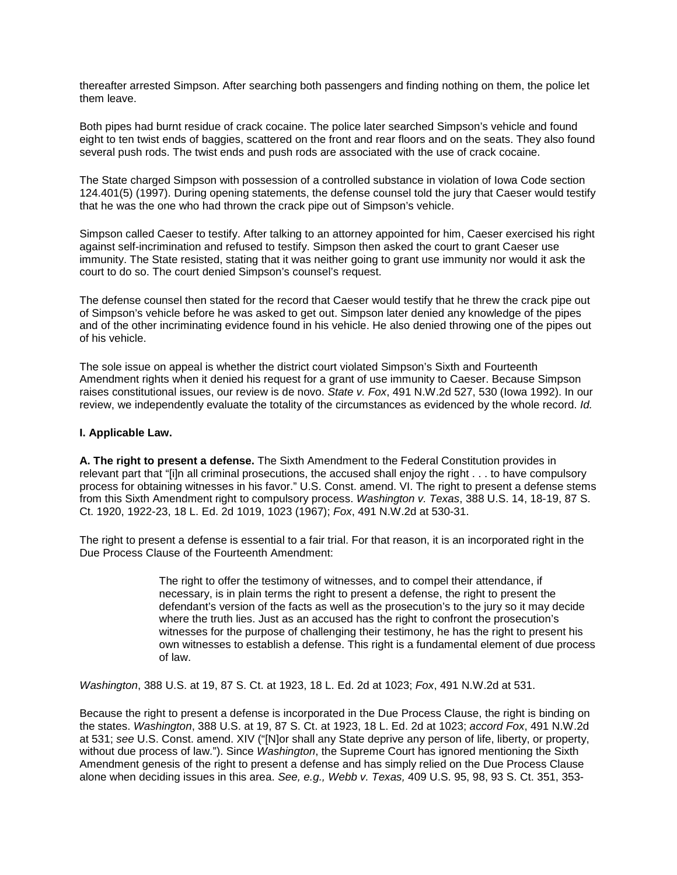thereafter arrested Simpson. After searching both passengers and finding nothing on them, the police let them leave.

Both pipes had burnt residue of crack cocaine. The police later searched Simpson's vehicle and found eight to ten twist ends of baggies, scattered on the front and rear floors and on the seats. They also found several push rods. The twist ends and push rods are associated with the use of crack cocaine.

The State charged Simpson with possession of a controlled substance in violation of Iowa Code section 124.401(5) (1997). During opening statements, the defense counsel told the jury that Caeser would testify that he was the one who had thrown the crack pipe out of Simpson's vehicle.

Simpson called Caeser to testify. After talking to an attorney appointed for him, Caeser exercised his right against self-incrimination and refused to testify. Simpson then asked the court to grant Caeser use immunity. The State resisted, stating that it was neither going to grant use immunity nor would it ask the court to do so. The court denied Simpson's counsel's request.

The defense counsel then stated for the record that Caeser would testify that he threw the crack pipe out of Simpson's vehicle before he was asked to get out. Simpson later denied any knowledge of the pipes and of the other incriminating evidence found in his vehicle. He also denied throwing one of the pipes out of his vehicle.

The sole issue on appeal is whether the district court violated Simpson's Sixth and Fourteenth Amendment rights when it denied his request for a grant of use immunity to Caeser. Because Simpson raises constitutional issues, our review is de novo. *State v. Fox*, 491 N.W.2d 527, 530 (Iowa 1992). In our review, we independently evaluate the totality of the circumstances as evidenced by the whole record. *Id.*

### **I. Applicable Law.**

**A. The right to present a defense.** The Sixth Amendment to the Federal Constitution provides in relevant part that "[i]n all criminal prosecutions, the accused shall enjoy the right . . . to have compulsory process for obtaining witnesses in his favor." U.S. Const. amend. VI. The right to present a defense stems from this Sixth Amendment right to compulsory process. *Washington v. Texas*, 388 U.S. 14, 18-19, 87 S. Ct. 1920, 1922-23, 18 L. Ed. 2d 1019, 1023 (1967); *Fox*, 491 N.W.2d at 530-31.

The right to present a defense is essential to a fair trial. For that reason, it is an incorporated right in the Due Process Clause of the Fourteenth Amendment:

> The right to offer the testimony of witnesses, and to compel their attendance, if necessary, is in plain terms the right to present a defense, the right to present the defendant's version of the facts as well as the prosecution's to the jury so it may decide where the truth lies. Just as an accused has the right to confront the prosecution's witnesses for the purpose of challenging their testimony, he has the right to present his own witnesses to establish a defense. This right is a fundamental element of due process of law.

*Washington*, 388 U.S. at 19, 87 S. Ct. at 1923, 18 L. Ed. 2d at 1023; *Fox*, 491 N.W.2d at 531.

Because the right to present a defense is incorporated in the Due Process Clause, the right is binding on the states. *Washington*, 388 U.S. at 19, 87 S. Ct. at 1923, 18 L. Ed. 2d at 1023; *accord Fox*, 491 N.W.2d at 531; *see* U.S. Const. amend. XIV ("[N]or shall any State deprive any person of life, liberty, or property, without due process of law."). Since *Washington*, the Supreme Court has ignored mentioning the Sixth Amendment genesis of the right to present a defense and has simply relied on the Due Process Clause alone when deciding issues in this area. *See, e.g., Webb v. Texas,* 409 U.S. 95, 98, 93 S. Ct. 351, 353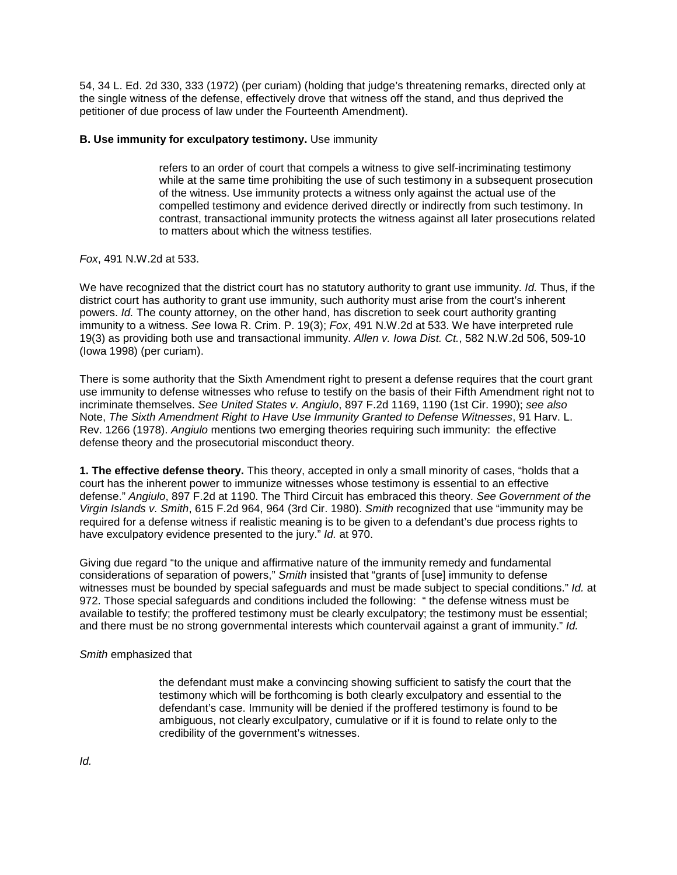54, 34 L. Ed. 2d 330, 333 (1972) (per curiam) (holding that judge's threatening remarks, directed only at the single witness of the defense, effectively drove that witness off the stand, and thus deprived the petitioner of due process of law under the Fourteenth Amendment).

### **B. Use immunity for exculpatory testimony.** Use immunity

refers to an order of court that compels a witness to give self-incriminating testimony while at the same time prohibiting the use of such testimony in a subsequent prosecution of the witness. Use immunity protects a witness only against the actual use of the compelled testimony and evidence derived directly or indirectly from such testimony. In contrast, transactional immunity protects the witness against all later prosecutions related to matters about which the witness testifies.

### *Fox*, 491 N.W.2d at 533.

We have recognized that the district court has no statutory authority to grant use immunity. *Id.* Thus, if the district court has authority to grant use immunity, such authority must arise from the court's inherent powers. *Id.* The county attorney, on the other hand, has discretion to seek court authority granting immunity to a witness. *See* Iowa R. Crim. P. 19(3); *Fox*, 491 N.W.2d at 533. We have interpreted rule 19(3) as providing both use and transactional immunity. *Allen v. Iowa Dist. Ct.*, 582 N.W.2d 506, 509-10 (Iowa 1998) (per curiam).

There is some authority that the Sixth Amendment right to present a defense requires that the court grant use immunity to defense witnesses who refuse to testify on the basis of their Fifth Amendment right not to incriminate themselves. *See United States v. Angiulo*, 897 F.2d 1169, 1190 (1st Cir. 1990); *see also*  Note, *The Sixth Amendment Right to Have Use Immunity Granted to Defense Witnesses*, 91 Harv. L. Rev. 1266 (1978). *Angiulo* mentions two emerging theories requiring such immunity: the effective defense theory and the prosecutorial misconduct theory.

**1. The effective defense theory.** This theory, accepted in only a small minority of cases, "holds that a court has the inherent power to immunize witnesses whose testimony is essential to an effective defense." *Angiulo*, 897 F.2d at 1190. The Third Circuit has embraced this theory. *See Government of the Virgin Islands v. Smith*, 615 F.2d 964, 964 (3rd Cir. 1980). *Smith* recognized that use "immunity may be required for a defense witness if realistic meaning is to be given to a defendant's due process rights to have exculpatory evidence presented to the jury." *Id.* at 970.

Giving due regard "to the unique and affirmative nature of the immunity remedy and fundamental considerations of separation of powers," *Smith* insisted that "grants of [use] immunity to defense witnesses must be bounded by special safeguards and must be made subject to special conditions." *Id.* at 972. Those special safeguards and conditions included the following: " the defense witness must be available to testify; the proffered testimony must be clearly exculpatory; the testimony must be essential; and there must be no strong governmental interests which countervail against a grant of immunity." *Id.* 

### *Smith* emphasized that

the defendant must make a convincing showing sufficient to satisfy the court that the testimony which will be forthcoming is both clearly exculpatory and essential to the defendant's case. Immunity will be denied if the proffered testimony is found to be ambiguous, not clearly exculpatory, cumulative or if it is found to relate only to the credibility of the government's witnesses.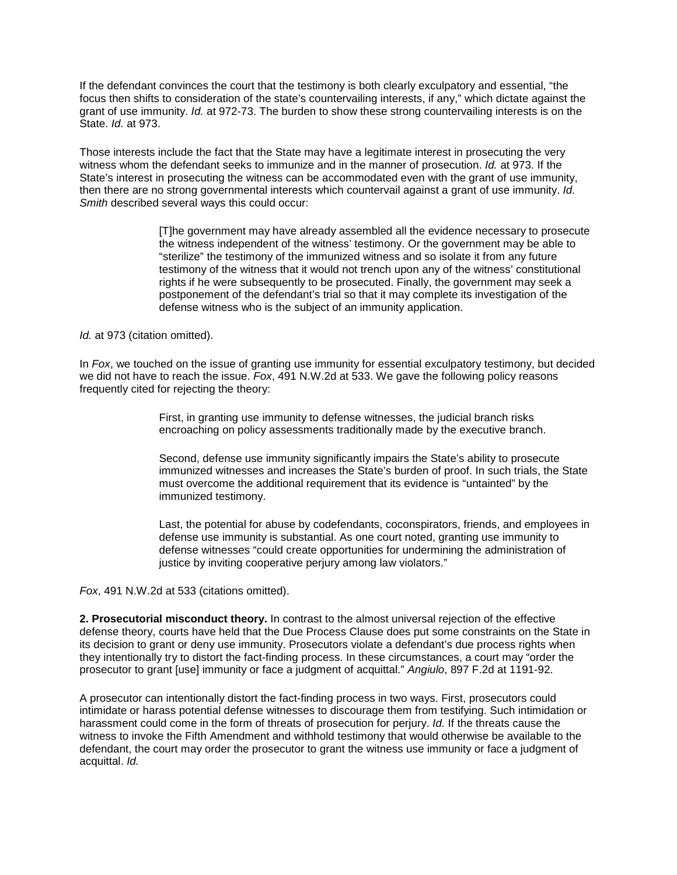If the defendant convinces the court that the testimony is both clearly exculpatory and essential, "the focus then shifts to consideration of the state's countervailing interests, if any," which dictate against the grant of use immunity. *Id.* at 972-73. The burden to show these strong countervailing interests is on the State. *Id.* at 973.

Those interests include the fact that the State may have a legitimate interest in prosecuting the very witness whom the defendant seeks to immunize and in the manner of prosecution. *Id.* at 973. If the State's interest in prosecuting the witness can be accommodated even with the grant of use immunity, then there are no strong governmental interests which countervail against a grant of use immunity. *Id. Smith* described several ways this could occur:

> [T]he government may have already assembled all the evidence necessary to prosecute the witness independent of the witness' testimony. Or the government may be able to "sterilize" the testimony of the immunized witness and so isolate it from any future testimony of the witness that it would not trench upon any of the witness' constitutional rights if he were subsequently to be prosecuted. Finally, the government may seek a postponement of the defendant's trial so that it may complete its investigation of the defense witness who is the subject of an immunity application.

*Id.* at 973 (citation omitted).

In *Fox*, we touched on the issue of granting use immunity for essential exculpatory testimony, but decided we did not have to reach the issue. *Fox*, 491 N.W.2d at 533. We gave the following policy reasons frequently cited for rejecting the theory:

> First, in granting use immunity to defense witnesses, the judicial branch risks encroaching on policy assessments traditionally made by the executive branch.

Second, defense use immunity significantly impairs the State's ability to prosecute immunized witnesses and increases the State's burden of proof. In such trials, the State must overcome the additional requirement that its evidence is "untainted" by the immunized testimony.

Last, the potential for abuse by codefendants, coconspirators, friends, and employees in defense use immunity is substantial. As one court noted, granting use immunity to defense witnesses "could create opportunities for undermining the administration of justice by inviting cooperative perjury among law violators."

*Fox*, 491 N.W.2d at 533 (citations omitted).

**2. Prosecutorial misconduct theory.** In contrast to the almost universal rejection of the effective defense theory, courts have held that the Due Process Clause does put some constraints on the State in its decision to grant or deny use immunity. Prosecutors violate a defendant's due process rights when they intentionally try to distort the fact-finding process. In these circumstances, a court may "order the prosecutor to grant [use] immunity or face a judgment of acquittal." *Angiulo*, 897 F.2d at 1191-92.

A prosecutor can intentionally distort the fact-finding process in two ways. First, prosecutors could intimidate or harass potential defense witnesses to discourage them from testifying. Such intimidation or harassment could come in the form of threats of prosecution for perjury. *Id.* If the threats cause the witness to invoke the Fifth Amendment and withhold testimony that would otherwise be available to the defendant, the court may order the prosecutor to grant the witness use immunity or face a judgment of acquittal. *Id.*